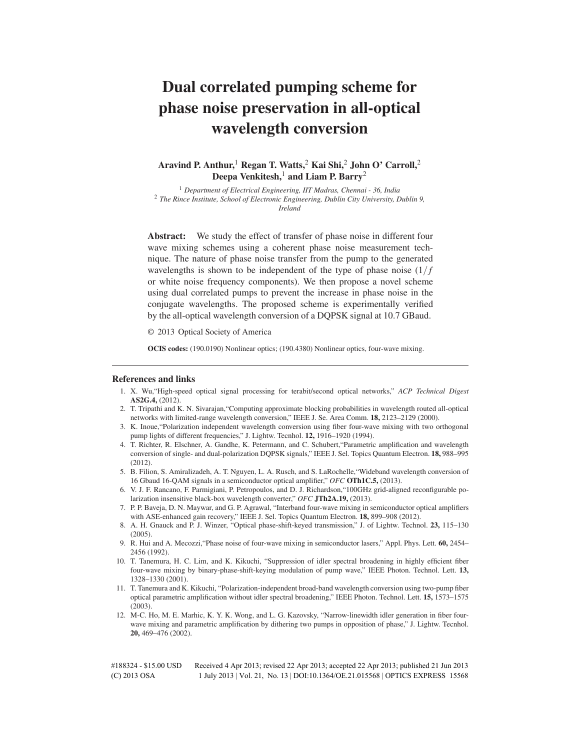# **Dual correlated pumping scheme for phase noise preservation in all-optical wavelength conversion**

# **Aravind P. Anthur,**<sup>1</sup> **Regan T. Watts,**<sup>2</sup> **Kai Shi,**<sup>2</sup> **John O' Carroll,**<sup>2</sup> **Deepa Venkitesh,**<sup>1</sup> **and Liam P. Barry**<sup>2</sup>

<sup>1</sup> *Department of Electrical Engineering, IIT Madras, Chennai - 36, India* <sup>2</sup> *The Rince Institute, School of Electronic Engineering, Dublin City University, Dublin 9, Ireland*

**Abstract:** We study the effect of transfer of phase noise in different four wave mixing schemes using a coherent phase noise measurement technique. The nature of phase noise transfer from the pump to the generated wavelengths is shown to be independent of the type of phase noise  $(1/f)$ or white noise frequency components). We then propose a novel scheme using dual correlated pumps to prevent the increase in phase noise in the conjugate wavelengths. The proposed scheme is experimentally verified by the all-optical wavelength conversion of a DQPSK signal at 10.7 GBaud.

© 2013 Optical Society of America

**OCIS codes:** (190.0190) Nonlinear optics; (190.4380) Nonlinear optics, four-wave mixing.

#### **References and links**

- 1. X. Wu,"High-speed optical signal processing for terabit/second optical networks," *ACP Technical Digest* **AS2G.4,** (2012).
- 2. T. Tripathi and K. N. Sivarajan,"Computing approximate blocking probabilities in wavelength routed all-optical networks with limited-range wavelength conversion," IEEE J. Se. Area Comm. **18,** 2123–2129 (2000).
- 3. K. Inoue,"Polarization independent wavelength conversion using fiber four-wave mixing with two orthogonal pump lights of different frequencies," J. Lightw. Tecnhol. **12,** 1916–1920 (1994).
- 4. T. Richter, R. Elschner, A. Gandhe, K. Petermann, and C. Schubert,"Parametric amplification and wavelength conversion of single- and dual-polarization DQPSK signals," IEEE J. Sel. Topics Quantum Electron. **18,** 988–995 (2012).
- 5. B. Filion, S. Amiralizadeh, A. T. Nguyen, L. A. Rusch, and S. LaRochelle,"Wideband wavelength conversion of 16 Gbaud 16-QAM signals in a semiconductor optical amplifier," *OFC* **OTh1C.5,** (2013).
- 6. V. J. F. Rancano, F. Parmigiani, P. Petropoulos, and D. J. Richardson,"100GHz grid-aligned reconfigurable polarization insensitive black-box wavelength converter," *OFC* **JTh2A.19,** (2013).
- 7. P. P. Baveja, D. N. Maywar, and G. P. Agrawal, "Interband four-wave mixing in semiconductor optical amplifiers with ASE-enhanced gain recovery," IEEE J. Sel. Topics Quantum Electron. **18,** 899–908 (2012).
- 8. A. H. Gnauck and P. J. Winzer, "Optical phase-shift-keyed transmission," J. of Lightw. Technol. **23,** 115–130 (2005).
- 9. R. Hui and A. Mecozzi,"Phase noise of four-wave mixing in semiconductor lasers," Appl. Phys. Lett. **60,** 2454– 2456 (1992).
- 10. T. Tanemura, H. C. Lim, and K. Kikuchi, "Suppression of idler spectral broadening in highly efficient fiber four-wave mixing by binary-phase-shift-keying modulation of pump wave," IEEE Photon. Technol. Lett. **13,** 1328–1330 (2001).
- 11. T. Tanemura and K. Kikuchi, "Polarization-independent broad-band wavelength conversion using two-pump fiber optical parametric amplification without idler spectral broadening," IEEE Photon. Technol. Lett. **15,** 1573–1575 (2003).
- 12. M-C. Ho, M. E. Marhic, K. Y. K. Wong, and L. G. Kazovsky, "Narrow-linewidth idler generation in fiber fourwave mixing and parametric amplification by dithering two pumps in opposition of phase," J. Lightw. Tecnhol. **20,** 469–476 (2002).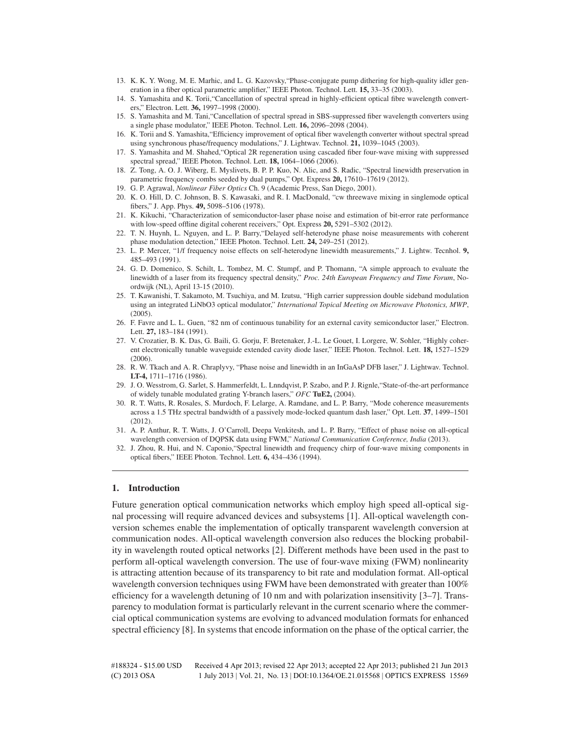- 13. K. K. Y. Wong, M. E. Marhic, and L. G. Kazovsky,"Phase-conjugate pump dithering for high-quality idler generation in a fiber optical parametric amplifier," IEEE Photon. Technol. Lett. **15,** 33–35 (2003).
- 14. S. Yamashita and K. Torii,"Cancellation of spectral spread in highly-efficient optical fibre wavelength converters," Electron. Lett. **36,** 1997–1998 (2000).
- 15. S. Yamashita and M. Tani,"Cancellation of spectral spread in SBS-suppressed fiber wavelength converters using a single phase modulator," IEEE Photon. Technol. Lett. **16,** 2096–2098 (2004).
- 16. K. Torii and S. Yamashita,"Efficiency improvement of optical fiber wavelength converter without spectral spread using synchronous phase/frequency modulations," J. Lightwav. Technol. **21,** 1039–1045 (2003).
- 17. S. Yamashita and M. Shahed,"Optical 2R regeneration using cascaded fiber four-wave mixing with suppressed spectral spread," IEEE Photon. Technol. Lett. **18,** 1064–1066 (2006).
- 18. Z. Tong, A. O. J. Wiberg, E. Myslivets, B. P. P. Kuo, N. Alic, and S. Radic, "Spectral linewidth preservation in parametric frequency combs seeded by dual pumps," Opt. Express **20,** 17610–17619 (2012).
- 19. G. P. Agrawal, *Nonlinear Fiber Optics* Ch. 9 (Academic Press, San Diego, 2001).
- 20. K. O. Hill, D. C. Johnson, B. S. Kawasaki, and R. I. MacDonald, "cw threewave mixing in singlemode optical fibers," J. App. Phys. **49,** 5098–5106 (1978).
- 21. K. Kikuchi, "Characterization of semiconductor-laser phase noise and estimation of bit-error rate performance with low-speed offline digital coherent receivers," Opt. Express **20,** 5291–5302 (2012).
- 22. T. N. Huynh, L. Nguyen, and L. P. Barry,"Delayed self-heterodyne phase noise measurements with coherent phase modulation detection," IEEE Photon. Technol. Lett. **24,** 249–251 (2012).
- 23. L. P. Mercer, "1/f frequency noise effects on self-heterodyne linewidth measurements," J. Lightw. Tecnhol. **9,** 485–493 (1991).
- 24. G. D. Domenico, S. Schilt, L. Tombez, M. C. Stumpf, and P. Thomann, "A simple approach to evaluate the linewidth of a laser from its frequency spectral density," *Proc. 24th European Frequency and Time Forum*, Noordwijk (NL), April 13-15 (2010).
- 25. T. Kawanishi, T. Sakamoto, M. Tsuchiya, and M. Izutsu, "High carrier suppression double sideband modulation using an integrated LiNbO3 optical modulator," *International Topical Meeting on Microwave Photonics, MWP*, (2005).
- 26. F. Favre and L. L. Guen, "82 nm of continuous tunability for an external cavity semiconductor laser," Electron. Lett. **27,** 183–184 (1991).
- 27. V. Crozatier, B. K. Das, G. Baili, G. Gorju, F. Bretenaker, J.-L. Le Gouet, I. Lorgere, W. Sohler, "Highly coherent electronically tunable waveguide extended cavity diode laser," IEEE Photon. Technol. Lett. **18,** 1527–1529  $(2006)$
- 28. R. W. Tkach and A. R. Chraplyvy, "Phase noise and linewidth in an InGaAsP DFB laser," J. Lightwav. Technol. **LT-4,** 1711–1716 (1986).
- 29. J. O. Wesstrom, G. Sarlet, S. Hammerfeldt, L. Lnndqvist, P. Szabo, and P. J. Rignle,"State-of-the-art performance of widely tunable modulated grating Y-branch lasers," *OFC* **TuE2,** (2004).
- 30. R. T. Watts, R. Rosales, S. Murdoch, F. Lelarge, A. Ramdane, and L. P. Barry, "Mode coherence measurements across a 1.5 THz spectral bandwidth of a passively mode-locked quantum dash laser," Opt. Lett. **37**, 1499–1501 (2012).
- 31. A. P. Anthur, R. T. Watts, J. O'Carroll, Deepa Venkitesh, and L. P. Barry, "Effect of phase noise on all-optical wavelength conversion of DQPSK data using FWM," *National Communication Conference, India* (2013).
- 32. J. Zhou, R. Hui, and N. Caponio,"Spectral linewidth and frequency chirp of four-wave mixing components in optical fibers," IEEE Photon. Technol. Lett. **6,** 434–436 (1994).

# **1. Introduction**

Future generation optical communication networks which employ high speed all-optical signal processing will require advanced devices and subsystems [1]. All-optical wavelength conversion schemes enable the implementation of optically transparent wavelength conversion at communication nodes. All-optical wavelength conversion also reduces the blocking probability in wavelength routed optical networks [2]. Different methods have been used in the past to perform all-optical wavelength conversion. The use of four-wave mixing (FWM) nonlinearity is attracting attention because of its transparency to bit rate and modulation format. All-optical wavelength conversion techniques using FWM have been demonstrated with greater than 100% efficiency for a wavelength detuning of 10 nm and with polarization insensitivity [3–7]. Transparency to modulation format is particularly relevant in the current scenario where the commercial optical communication systems are evolving to advanced modulation formats for enhanced spectral efficiency [8]. In systems that encode information on the phase of the optical carrier, the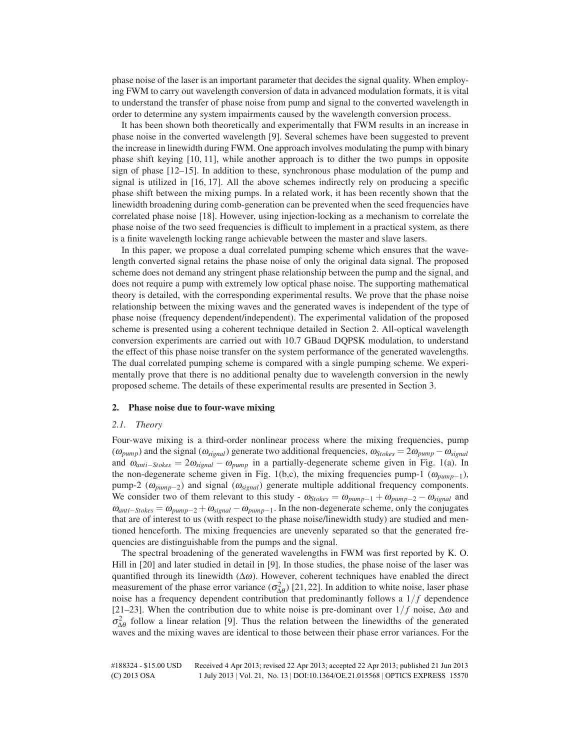phase noise of the laser is an important parameter that decides the signal quality. When employing FWM to carry out wavelength conversion of data in advanced modulation formats, it is vital to understand the transfer of phase noise from pump and signal to the converted wavelength in order to determine any system impairments caused by the wavelength conversion process.

It has been shown both theoretically and experimentally that FWM results in an increase in phase noise in the converted wavelength [9]. Several schemes have been suggested to prevent the increase in linewidth during FWM. One approach involves modulating the pump with binary phase shift keying [10, 11], while another approach is to dither the two pumps in opposite sign of phase [12–15]. In addition to these, synchronous phase modulation of the pump and signal is utilized in [16, 17]. All the above schemes indirectly rely on producing a specific phase shift between the mixing pumps. In a related work, it has been recently shown that the linewidth broadening during comb-generation can be prevented when the seed frequencies have correlated phase noise [18]. However, using injection-locking as a mechanism to correlate the phase noise of the two seed frequencies is difficult to implement in a practical system, as there is a finite wavelength locking range achievable between the master and slave lasers.

In this paper, we propose a dual correlated pumping scheme which ensures that the wavelength converted signal retains the phase noise of only the original data signal. The proposed scheme does not demand any stringent phase relationship between the pump and the signal, and does not require a pump with extremely low optical phase noise. The supporting mathematical theory is detailed, with the corresponding experimental results. We prove that the phase noise relationship between the mixing waves and the generated waves is independent of the type of phase noise (frequency dependent/independent). The experimental validation of the proposed scheme is presented using a coherent technique detailed in Section 2. All-optical wavelength conversion experiments are carried out with 10.7 GBaud DQPSK modulation, to understand the effect of this phase noise transfer on the system performance of the generated wavelengths. The dual correlated pumping scheme is compared with a single pumping scheme. We experimentally prove that there is no additional penalty due to wavelength conversion in the newly proposed scheme. The details of these experimental results are presented in Section 3.

#### **2. Phase noise due to four-wave mixing**

#### *2.1. Theory*

Four-wave mixing is a third-order nonlinear process where the mixing frequencies, pump  $(\omega_{pump})$  and the signal  $(\omega_{signal})$  generate two additional frequencies,  $\omega_{Stokes} = 2\omega_{pump} - \omega_{signal}$ and  $\omega_{anti-Stokes} = 2\omega_{signal} - \omega_{pump}$  in a partially-degenerate scheme given in Fig. 1(a). In the non-degenerate scheme given in Fig. 1(b,c), the mixing frequencies pump-1 ( $\omega_{pump-1}$ ), pump-2 (<sup>ω</sup>*pump*−2) and signal (<sup>ω</sup>*signal*) generate multiple additional frequency components. We consider two of them relevant to this study -  $\omega_{Stokes} = \omega_{pump-1} + \omega_{pump-2} - \omega_{signal}$  and  $\omega_{anti-Stokes} = \omega_{pump-2} + \omega_{signal} - \omega_{pump-1}$ . In the non-degenerate scheme, only the conjugates that are of interest to us (with respect to the phase noise/linewidth study) are studied and mentioned henceforth. The mixing frequencies are unevenly separated so that the generated frequencies are distinguishable from the pumps and the signal.

The spectral broadening of the generated wavelengths in FWM was first reported by K. O. Hill in [20] and later studied in detail in [9]. In those studies, the phase noise of the laser was quantified through its linewidth (∆ω). However, coherent techniques have enabled the direct measurement of the phase error variance  $(\sigma_{\Delta\theta}^2)$  [21, 22]. In addition to white noise, laser phase noise has a frequency dependent contribution that predominantly follows a  $1/f$  dependence [21–23]. When the contribution due to white noise is pre-dominant over  $1/f$  noise,  $\Delta \omega$  and  $\sigma_{\Delta\theta}^2$  follow a linear relation [9]. Thus the relation between the linewidths of the generated waves and the mixing waves are identical to those between their phase error variances. For the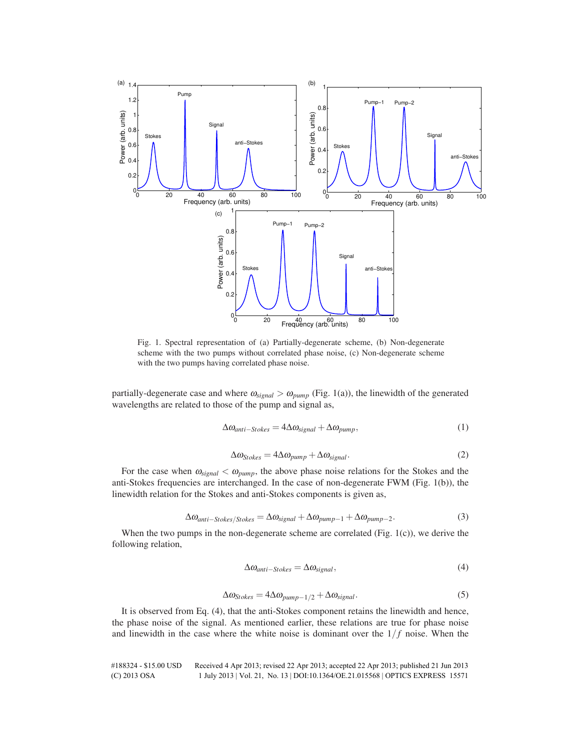

Fig. 1. Spectral representation of (a) Partially-degenerate scheme, (b) Non-degenerate scheme with the two pumps without correlated phase noise, (c) Non-degenerate scheme with the two pumps having correlated phase noise.

partially-degenerate case and where  $\omega_{signal} > \omega_{pump}$  (Fig. 1(a)), the linewidth of the generated wavelengths are related to those of the pump and signal as,

$$
\Delta \omega_{anti-Stokes} = 4\Delta \omega_{signal} + \Delta \omega_{pump},\tag{1}
$$

$$
\Delta \omega_{Stokes} = 4\Delta \omega_{pump} + \Delta \omega_{signal}.
$$
\n(2)

For the case when  $\omega_{signal} < \omega_{pump}$ , the above phase noise relations for the Stokes and the anti-Stokes frequencies are interchanged. In the case of non-degenerate FWM (Fig. 1(b)), the linewidth relation for the Stokes and anti-Stokes components is given as,

$$
\Delta\omega_{anti-Stokes/Stokes} = \Delta\omega_{signal} + \Delta\omega_{pump-1} + \Delta\omega_{pump-2}.
$$
\n(3)

When the two pumps in the non-degenerate scheme are correlated (Fig.  $1(c)$ ), we derive the following relation,

$$
\Delta \omega_{anti-Stokes} = \Delta \omega_{signal},\tag{4}
$$

$$
\Delta \omega_{Stokes} = 4\Delta \omega_{pump-1/2} + \Delta \omega_{signal}.\tag{5}
$$

It is observed from Eq. (4), that the anti-Stokes component retains the linewidth and hence, the phase noise of the signal. As mentioned earlier, these relations are true for phase noise and linewidth in the case where the white noise is dominant over the  $1/f$  noise. When the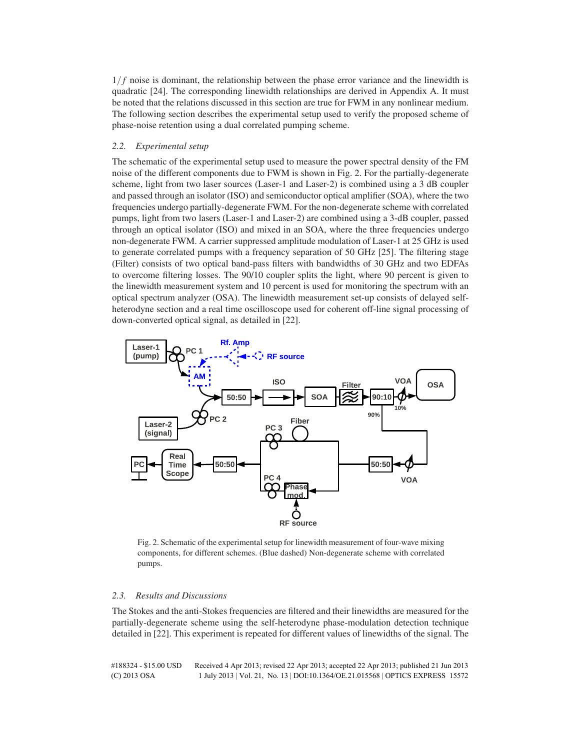$1/f$  noise is dominant, the relationship between the phase error variance and the linewidth is quadratic [24]. The corresponding linewidth relationships are derived in Appendix A. It must be noted that the relations discussed in this section are true for FWM in any nonlinear medium. The following section describes the experimental setup used to verify the proposed scheme of phase-noise retention using a dual correlated pumping scheme.

# *2.2. Experimental setup*

The schematic of the experimental setup used to measure the power spectral density of the FM noise of the different components due to FWM is shown in Fig. 2. For the partially-degenerate scheme, light from two laser sources (Laser-1 and Laser-2) is combined using a 3 dB coupler and passed through an isolator (ISO) and semiconductor optical amplifier (SOA), where the two frequencies undergo partially-degenerate FWM. For the non-degenerate scheme with correlated pumps, light from two lasers (Laser-1 and Laser-2) are combined using a 3-dB coupler, passed through an optical isolator (ISO) and mixed in an SOA, where the three frequencies undergo non-degenerate FWM. A carrier suppressed amplitude modulation of Laser-1 at 25 GHz is used to generate correlated pumps with a frequency separation of 50 GHz [25]. The filtering stage (Filter) consists of two optical band-pass filters with bandwidths of 30 GHz and two EDFAs to overcome filtering losses. The 90/10 coupler splits the light, where 90 percent is given to the linewidth measurement system and 10 percent is used for monitoring the spectrum with an optical spectrum analyzer (OSA). The linewidth measurement set-up consists of delayed selfheterodyne section and a real time oscilloscope used for coherent off-line signal processing of down-converted optical signal, as detailed in [22].



Fig. 2. Schematic of the experimental setup for linewidth measurement of four-wave mixing components, for different schemes. (Blue dashed) Non-degenerate scheme with correlated pumps.

#### *2.3. Results and Discussions*

The Stokes and the anti-Stokes frequencies are filtered and their linewidths are measured for the partially-degenerate scheme using the self-heterodyne phase-modulation detection technique detailed in [22]. This experiment is repeated for different values of linewidths of the signal. The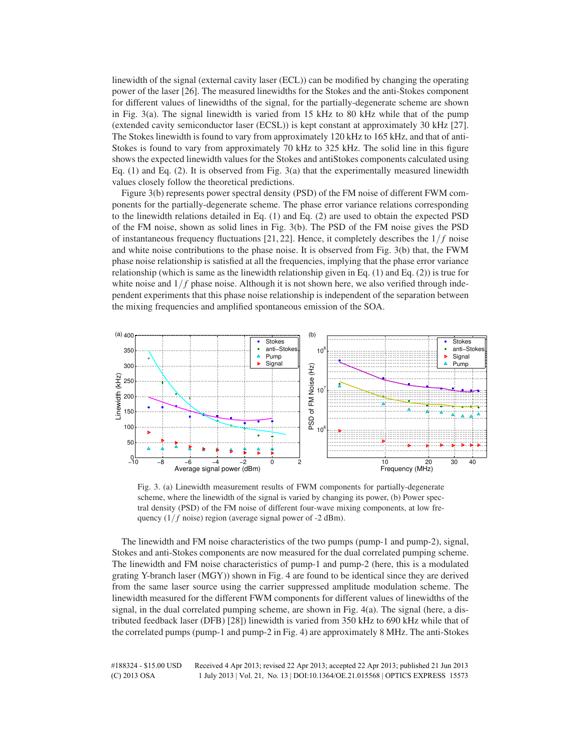linewidth of the signal (external cavity laser (ECL)) can be modified by changing the operating power of the laser [26]. The measured linewidths for the Stokes and the anti-Stokes component for different values of linewidths of the signal, for the partially-degenerate scheme are shown in Fig. 3(a). The signal linewidth is varied from 15 kHz to 80 kHz while that of the pump (extended cavity semiconductor laser (ECSL)) is kept constant at approximately 30 kHz [27]. The Stokes linewidth is found to vary from approximately 120 kHz to 165 kHz, and that of anti-Stokes is found to vary from approximately 70 kHz to 325 kHz. The solid line in this figure shows the expected linewidth values for the Stokes and antiStokes components calculated using Eq. (1) and Eq. (2). It is observed from Fig. 3(a) that the experimentally measured linewidth values closely follow the theoretical predictions.

Figure 3(b) represents power spectral density (PSD) of the FM noise of different FWM components for the partially-degenerate scheme. The phase error variance relations corresponding to the linewidth relations detailed in Eq. (1) and Eq. (2) are used to obtain the expected PSD of the FM noise, shown as solid lines in Fig. 3(b). The PSD of the FM noise gives the PSD of instantaneous frequency fluctuations  $[21, 22]$ . Hence, it completely describes the  $1/f$  noise and white noise contributions to the phase noise. It is observed from Fig. 3(b) that, the FWM phase noise relationship is satisfied at all the frequencies, implying that the phase error variance relationship (which is same as the linewidth relationship given in Eq. (1) and Eq. (2)) is true for white noise and  $1/f$  phase noise. Although it is not shown here, we also verified through independent experiments that this phase noise relationship is independent of the separation between the mixing frequencies and amplified spontaneous emission of the SOA.



Fig. 3. (a) Linewidth measurement results of FWM components for partially-degenerate scheme, where the linewidth of the signal is varied by changing its power, (b) Power spectral density (PSD) of the FM noise of different four-wave mixing components, at low frequency  $(1/f \text{ noise})$  region (average signal power of -2 dBm).

The linewidth and FM noise characteristics of the two pumps (pump-1 and pump-2), signal, Stokes and anti-Stokes components are now measured for the dual correlated pumping scheme. The linewidth and FM noise characteristics of pump-1 and pump-2 (here, this is a modulated grating Y-branch laser (MGY)) shown in Fig. 4 are found to be identical since they are derived from the same laser source using the carrier suppressed amplitude modulation scheme. The linewidth measured for the different FWM components for different values of linewidths of the signal, in the dual correlated pumping scheme, are shown in Fig. 4(a). The signal (here, a distributed feedback laser (DFB) [28]) linewidth is varied from 350 kHz to 690 kHz while that of the correlated pumps (pump-1 and pump-2 in Fig. 4) are approximately 8 MHz. The anti-Stokes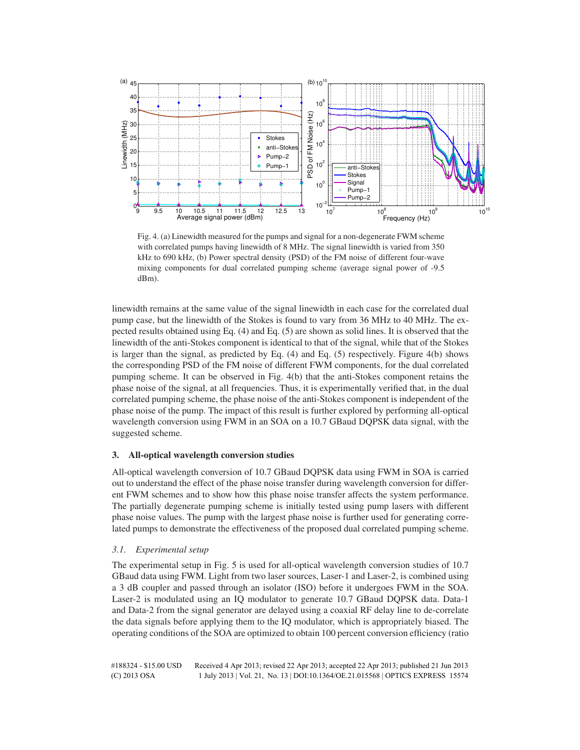

Fig. 4. (a) Linewidth measured for the pumps and signal for a non-degenerate FWM scheme with correlated pumps having linewidth of 8 MHz. The signal linewidth is varied from 350 kHz to 690 kHz, (b) Power spectral density (PSD) of the FM noise of different four-wave mixing components for dual correlated pumping scheme (average signal power of -9.5 dBm).

linewidth remains at the same value of the signal linewidth in each case for the correlated dual pump case, but the linewidth of the Stokes is found to vary from 36 MHz to 40 MHz. The expected results obtained using Eq. (4) and Eq. (5) are shown as solid lines. It is observed that the linewidth of the anti-Stokes component is identical to that of the signal, while that of the Stokes is larger than the signal, as predicted by Eq. (4) and Eq. (5) respectively. Figure 4(b) shows the corresponding PSD of the FM noise of different FWM components, for the dual correlated pumping scheme. It can be observed in Fig. 4(b) that the anti-Stokes component retains the phase noise of the signal, at all frequencies. Thus, it is experimentally verified that, in the dual correlated pumping scheme, the phase noise of the anti-Stokes component is independent of the phase noise of the pump. The impact of this result is further explored by performing all-optical wavelength conversion using FWM in an SOA on a 10.7 GBaud DQPSK data signal, with the suggested scheme.

# **3. All-optical wavelength conversion studies**

All-optical wavelength conversion of 10.7 GBaud DQPSK data using FWM in SOA is carried out to understand the effect of the phase noise transfer during wavelength conversion for different FWM schemes and to show how this phase noise transfer affects the system performance. The partially degenerate pumping scheme is initially tested using pump lasers with different phase noise values. The pump with the largest phase noise is further used for generating correlated pumps to demonstrate the effectiveness of the proposed dual correlated pumping scheme.

# *3.1. Experimental setup*

The experimental setup in Fig. 5 is used for all-optical wavelength conversion studies of 10.7 GBaud data using FWM. Light from two laser sources, Laser-1 and Laser-2, is combined using a 3 dB coupler and passed through an isolator (ISO) before it undergoes FWM in the SOA. Laser-2 is modulated using an IQ modulator to generate 10.7 GBaud DQPSK data. Data-1 and Data-2 from the signal generator are delayed using a coaxial RF delay line to de-correlate the data signals before applying them to the IQ modulator, which is appropriately biased. The operating conditions of the SOA are optimized to obtain 100 percent conversion efficiency (ratio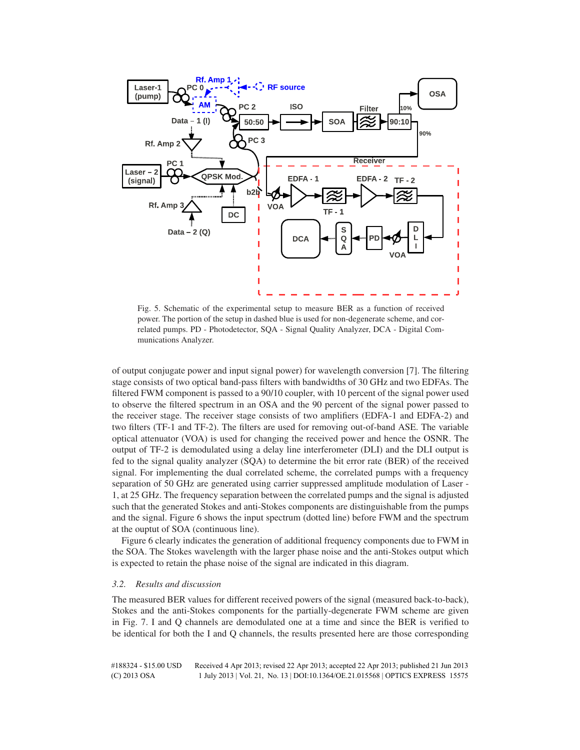

Fig. 5. Schematic of the experimental setup to measure BER as a function of received power. The portion of the setup in dashed blue is used for non-degenerate scheme, and correlated pumps. PD - Photodetector, SQA - Signal Quality Analyzer, DCA - Digital Communications Analyzer.

of output conjugate power and input signal power) for wavelength conversion [7]. The filtering stage consists of two optical band-pass filters with bandwidths of 30 GHz and two EDFAs. The filtered FWM component is passed to a 90/10 coupler, with 10 percent of the signal power used to observe the filtered spectrum in an OSA and the 90 percent of the signal power passed to the receiver stage. The receiver stage consists of two amplifiers (EDFA-1 and EDFA-2) and two filters (TF-1 and TF-2). The filters are used for removing out-of-band ASE. The variable optical attenuator (VOA) is used for changing the received power and hence the OSNR. The output of TF-2 is demodulated using a delay line interferometer (DLI) and the DLI output is fed to the signal quality analyzer (SQA) to determine the bit error rate (BER) of the received signal. For implementing the dual correlated scheme, the correlated pumps with a frequency separation of 50 GHz are generated using carrier suppressed amplitude modulation of Laser - 1, at 25 GHz. The frequency separation between the correlated pumps and the signal is adjusted such that the generated Stokes and anti-Stokes components are distinguishable from the pumps and the signal. Figure 6 shows the input spectrum (dotted line) before FWM and the spectrum at the ouptut of SOA (continuous line).

Figure 6 clearly indicates the generation of additional frequency components due to FWM in the SOA. The Stokes wavelength with the larger phase noise and the anti-Stokes output which is expected to retain the phase noise of the signal are indicated in this diagram.

#### *3.2. Results and discussion*

The measured BER values for different received powers of the signal (measured back-to-back), Stokes and the anti-Stokes components for the partially-degenerate FWM scheme are given in Fig. 7. I and Q channels are demodulated one at a time and since the BER is verified to be identical for both the I and Q channels, the results presented here are those corresponding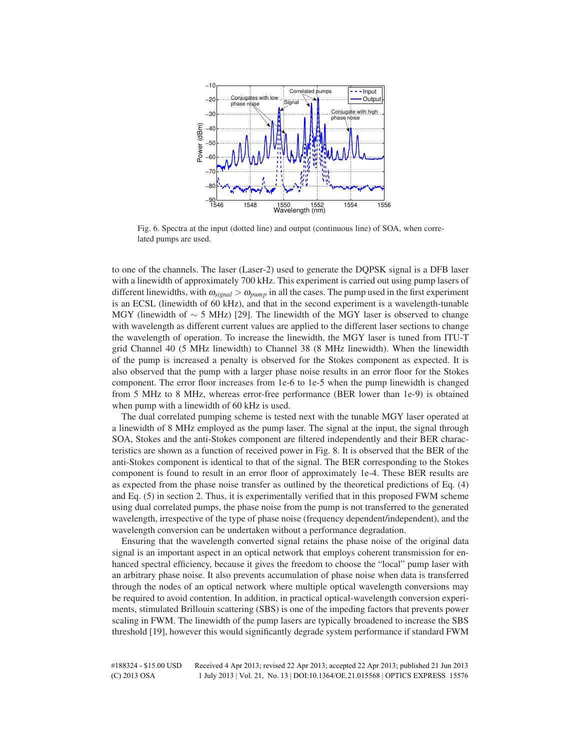

Fig. 6. Spectra at the input (dotted line) and output (continuous line) of SOA, when correlated pumps are used.

to one of the channels. The laser (Laser-2) used to generate the DQPSK signal is a DFB laser with a linewidth of approximately 700 kHz. This experiment is carried out using pump lasers of different linewidths, with  $\omega_{signal} > \omega_{pump}$  in all the cases. The pump used in the first experiment is an ECSL (linewidth of 60 kHz), and that in the second experiment is a wavelength-tunable MGY (linewidth of  $\sim$  5 MHz) [29]. The linewidth of the MGY laser is observed to change with wavelength as different current values are applied to the different laser sections to change the wavelength of operation. To increase the linewidth, the MGY laser is tuned from ITU-T grid Channel 40 (5 MHz linewidth) to Channel 38 (8 MHz linewidth). When the linewidth of the pump is increased a penalty is observed for the Stokes component as expected. It is also observed that the pump with a larger phase noise results in an error floor for the Stokes component. The error floor increases from 1e-6 to 1e-5 when the pump linewidth is changed from 5 MHz to 8 MHz, whereas error-free performance (BER lower than 1e-9) is obtained when pump with a linewidth of 60 kHz is used.

The dual correlated pumping scheme is tested next with the tunable MGY laser operated at a linewidth of 8 MHz employed as the pump laser. The signal at the input, the signal through SOA, Stokes and the anti-Stokes component are filtered independently and their BER characteristics are shown as a function of received power in Fig. 8. It is observed that the BER of the anti-Stokes component is identical to that of the signal. The BER corresponding to the Stokes component is found to result in an error floor of approximately 1e-4. These BER results are as expected from the phase noise transfer as outlined by the theoretical predictions of Eq. (4) and Eq. (5) in section 2. Thus, it is experimentally verified that in this proposed FWM scheme using dual correlated pumps, the phase noise from the pump is not transferred to the generated wavelength, irrespective of the type of phase noise (frequency dependent/independent), and the wavelength conversion can be undertaken without a performance degradation.

Ensuring that the wavelength converted signal retains the phase noise of the original data signal is an important aspect in an optical network that employs coherent transmission for enhanced spectral efficiency, because it gives the freedom to choose the "local" pump laser with an arbitrary phase noise. It also prevents accumulation of phase noise when data is transferred through the nodes of an optical network where multiple optical wavelength conversions may be required to avoid contention. In addition, in practical optical-wavelength conversion experiments, stimulated Brillouin scattering (SBS) is one of the impeding factors that prevents power scaling in FWM. The linewidth of the pump lasers are typically broadened to increase the SBS threshold [19], however this would significantly degrade system performance if standard FWM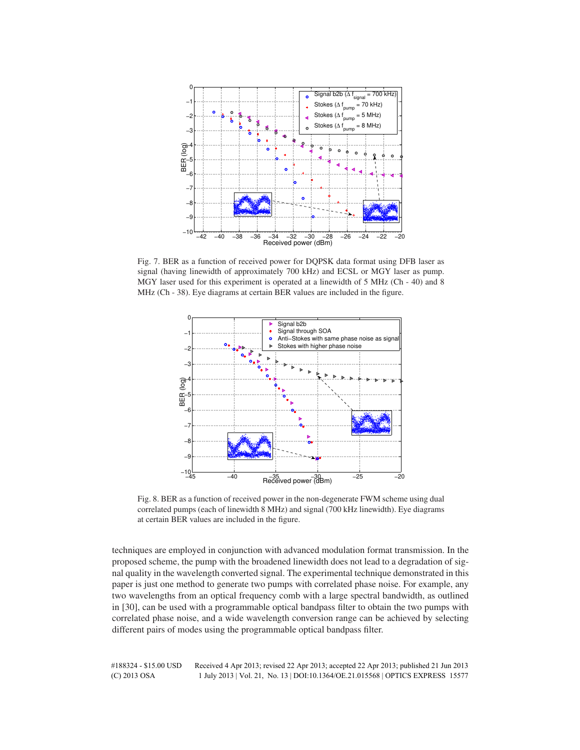

Fig. 7. BER as a function of received power for DQPSK data format using DFB laser as signal (having linewidth of approximately 700 kHz) and ECSL or MGY laser as pump. MGY laser used for this experiment is operated at a linewidth of 5 MHz (Ch - 40) and 8 MHz (Ch - 38). Eye diagrams at certain BER values are included in the figure.



Fig. 8. BER as a function of received power in the non-degenerate FWM scheme using dual correlated pumps (each of linewidth 8 MHz) and signal (700 kHz linewidth). Eye diagrams at certain BER values are included in the figure.

techniques are employed in conjunction with advanced modulation format transmission. In the proposed scheme, the pump with the broadened linewidth does not lead to a degradation of signal quality in the wavelength converted signal. The experimental technique demonstrated in this paper is just one method to generate two pumps with correlated phase noise. For example, any two wavelengths from an optical frequency comb with a large spectral bandwidth, as outlined in [30], can be used with a programmable optical bandpass filter to obtain the two pumps with correlated phase noise, and a wide wavelength conversion range can be achieved by selecting different pairs of modes using the programmable optical bandpass filter.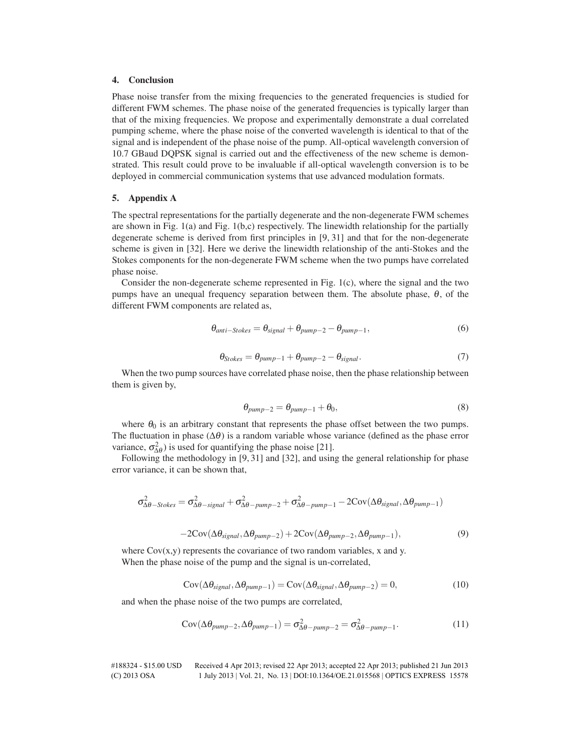# **4. Conclusion**

Phase noise transfer from the mixing frequencies to the generated frequencies is studied for different FWM schemes. The phase noise of the generated frequencies is typically larger than that of the mixing frequencies. We propose and experimentally demonstrate a dual correlated pumping scheme, where the phase noise of the converted wavelength is identical to that of the signal and is independent of the phase noise of the pump. All-optical wavelength conversion of 10.7 GBaud DQPSK signal is carried out and the effectiveness of the new scheme is demonstrated. This result could prove to be invaluable if all-optical wavelength conversion is to be deployed in commercial communication systems that use advanced modulation formats.

#### **5. Appendix A**

The spectral representations for the partially degenerate and the non-degenerate FWM schemes are shown in Fig. 1(a) and Fig. 1(b,c) respectively. The linewidth relationship for the partially degenerate scheme is derived from first principles in [9, 31] and that for the non-degenerate scheme is given in [32]. Here we derive the linewidth relationship of the anti-Stokes and the Stokes components for the non-degenerate FWM scheme when the two pumps have correlated phase noise.

Consider the non-degenerate scheme represented in Fig. 1(c), where the signal and the two pumps have an unequal frequency separation between them. The absolute phase,  $\theta$ , of the different FWM components are related as,

$$
\theta_{anti-Stokes} = \theta_{signal} + \theta_{pump-2} - \theta_{pump-1},
$$
\n(6)

$$
\theta_{Stokes} = \theta_{pump-1} + \theta_{pump-2} - \theta_{signal}.
$$
\n(7)

When the two pump sources have correlated phase noise, then the phase relationship between them is given by,

$$
\theta_{pump-2} = \theta_{pump-1} + \theta_0,\tag{8}
$$

where  $\theta_0$  is an arbitrary constant that represents the phase offset between the two pumps. The fluctuation in phase ( $\Delta\theta$ ) is a random variable whose variance (defined as the phase error variance,  $\sigma_{\Delta\theta}^2$ ) is used for quantifying the phase noise [21].

Following the methodology in [9, 31] and [32], and using the general relationship for phase error variance, it can be shown that,

$$
\sigma_{\Delta\theta\mathrm{-\textit{Stokes}}}^2 = \sigma_{\Delta\theta\mathrm{-\textit{signal}}}^2 + \sigma_{\Delta\theta\mathrm{-\textit{pump}-2}}^2 + \sigma_{\Delta\theta\mathrm{-\textit{pump}-1}}^2 - 2Cov(\Delta\theta_{signal},\Delta\theta_{pump-1})
$$

$$
-2\text{Cov}(\Delta\theta_{signal}, \Delta\theta_{pump-2}) + 2\text{Cov}(\Delta\theta_{pump-2}, \Delta\theta_{pump-1}),
$$
\n(9)

where  $Cov(x, y)$  represents the covariance of two random variables, x and y. When the phase noise of the pump and the signal is un-correlated,

$$
Cov(\Delta \theta_{signal}, \Delta \theta_{pump-1}) = Cov(\Delta \theta_{signal}, \Delta \theta_{pump-2}) = 0,
$$
\n(10)

and when the phase noise of the two pumps are correlated,

$$
Cov(\Delta\theta_{pump-2}, \Delta\theta_{pump-1}) = \sigma_{\Delta\theta-pump-2}^2 = \sigma_{\Delta\theta-pump-1}^2.
$$
 (11)